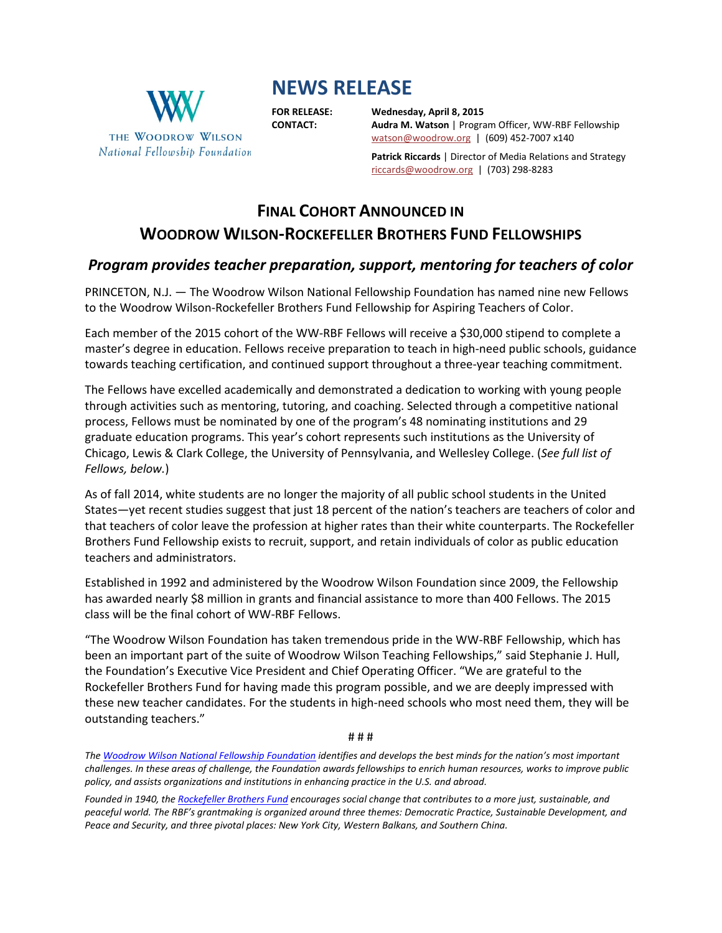# **NEWS RELEASE**



**FOR RELEASE: Wednesday, April 8, 2015 CONTACT: Audra M. Watson** | Program Officer, WW-RBF Fellowship [watson@woodrow.org](mailto:watson@woodrow.org)|(609) 452-7007 x140

> **Patrick Riccards** | Director of Media Relations and Strategy [riccards@woodrow.org](mailto:riccards@woodrow.org)|(703) 298-8283

## **FINAL COHORT ANNOUNCED IN WOODROW WILSON-ROCKEFELLER BROTHERS FUND FELLOWSHIPS**

### *Program provides teacher preparation, support, mentoring for teachers of color*

PRINCETON, N.J. — The Woodrow Wilson National Fellowship Foundation has named nine new Fellows to the Woodrow Wilson-Rockefeller Brothers Fund Fellowship for Aspiring Teachers of Color.

Each member of the 2015 cohort of the WW-RBF Fellows will receive a \$30,000 stipend to complete a master's degree in education. Fellows receive preparation to teach in high-need public schools, guidance towards teaching certification, and continued support throughout a three-year teaching commitment.

The Fellows have excelled academically and demonstrated a dedication to working with young people through activities such as mentoring, tutoring, and coaching. Selected through a competitive national process, Fellows must be nominated by one of the program's 48 nominating institutions and 29 graduate education programs. This year's cohort represents such institutions as the University of Chicago, Lewis & Clark College, the University of Pennsylvania, and Wellesley College. (*See full list of Fellows, below.*)

As of fall 2014, white students are no longer the majority of all public school students in the United States—yet recent studies suggest that just 18 percent of the nation's teachers are teachers of color and that teachers of color leave the profession at higher rates than their white counterparts. The Rockefeller Brothers Fund Fellowship exists to recruit, support, and retain individuals of color as public education teachers and administrators.

Established in 1992 and administered by the Woodrow Wilson Foundation since 2009, the Fellowship has awarded nearly \$8 million in grants and financial assistance to more than 400 Fellows. The 2015 class will be the final cohort of WW-RBF Fellows.

"The Woodrow Wilson Foundation has taken tremendous pride in the WW-RBF Fellowship, which has been an important part of the suite of Woodrow Wilson Teaching Fellowships," said Stephanie J. Hull, the Foundation's Executive Vice President and Chief Operating Officer. "We are grateful to the Rockefeller Brothers Fund for having made this program possible, and we are deeply impressed with these new teacher candidates. For the students in high-need schools who most need them, they will be outstanding teachers."

# # #

*Th[e Woodrow Wilson National Fellowship Foundation](http://www.woodrow.org/index.php) identifies and develops the best minds for the nation's most important challenges. In these areas of challenge, the Foundation awards fellowships to enrich human resources, works to improve public policy, and assists organizations and institutions in enhancing practice in the U.S. and abroad.*

*Founded in 1940, the [Rockefeller Brothers Fund](http://www.rbf.org/) encourages social change that contributes to a more just, sustainable, and peaceful world. The RBF's grantmaking is organized around three themes: Democratic Practice, Sustainable Development, and Peace and Security, and three pivotal places: New York City, Western Balkans, and Southern China.*